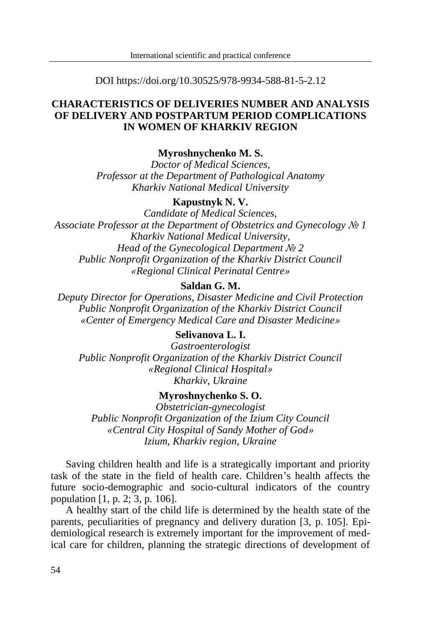DOI https://doi.org/10.30525/978-9934-588-81-5-2.12

# **CHARACTERISTICS OF DELIVERIES NUMBER AND ANALYSIS OF DELIVERY AND POSTPARTUM PERIOD COMPLICATIONS IN WOMEN OF KHARKIV REGION**

## **Myroshnychenko M. S.**

*Doctor of Medical Sciences, Professor at the Department of Pathological Anatomy Kharkiv National Medical University*

#### **Kapustnyk N. V.**

*Candidate of Medical Sciences, Associate Professor at the Department of Obstetrics and Gynecology № 1 Kharkiv National Medical University, Head of the Gynecological Department № 2 Public Nonprofit Organization of the Kharkiv District Council «Regional Clinical Perinatal Centre»*

### **Saldan G. M.**

*Deputy Director for Operations, Disaster Medicine and Civil Protection Public Nonprofit Organization of the Kharkiv District Council «Center of Emergency Medical Care and Disaster Medicine»*

# **Selivanova L. I.**

*Gastroenterologist Public Nonprofit Organization of the Kharkiv District Council «Regional Clinical Hospital» Kharkiv, Ukraine*

## **Myroshnychenko S. O.**

*Obstetrician-gynecologist Public Nonprofit Organization of the Izium City Council «Central City Hospital of Sandy Mother of God» Izium, Kharkiv region, Ukraine*

Saving children health and life is a strategically important and priority task of the state in the field of health care. Children's health affects the future socio-demographic and socio-cultural indicators of the country population [1, p. 2; 3, p. 106].

A healthy start of the child life is determined by the health state of the parents, peculiarities of pregnancy and delivery duration [3, p. 105]. Epidemiological research is extremely important for the improvement of medical care for children, planning the strategic directions of development of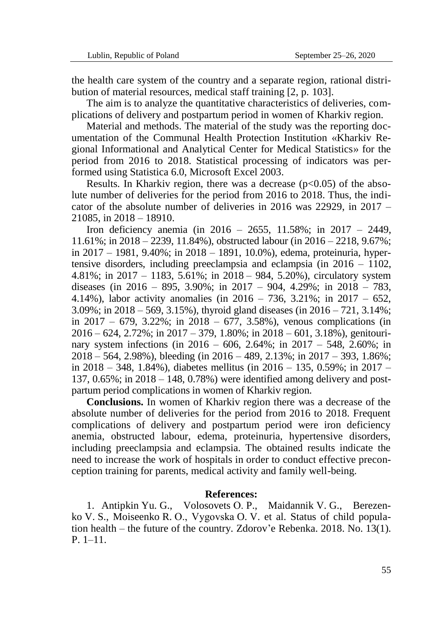the health care system of the country and a separate region, rational distribution of material resources, medical staff training [2, p. 103].

The aim is to analyze the quantitative characteristics of deliveries, complications of delivery and postpartum period in women of Kharkiv region.

Material and methods. The material of the study was the reporting documentation of the Communal Health Protection Institution «Kharkiv Regional Informational and Analytical Center for Medical Statistics» for the period from 2016 to 2018. Statistical processing of indicators was performed using Statistica 6.0, Microsoft Excel 2003.

Results. In Kharkiv region, there was a decrease  $(p<0.05)$  of the absolute number of deliveries for the period from 2016 to 2018. Thus, the indicator of the absolute number of deliveries in 2016 was 22929, in  $2017 -$ 21085, in 2018 – 18910.

Iron deficiency anemia (in 2016 – 2655, 11.58%; in 2017 – 2449, 11.61%; in 2018 – 2239, 11.84%), obstructed labour (in 2016 – 2218, 9.67%; in 2017 – 1981, 9.40%; in 2018 – 1891, 10.0%), edema, proteinuria, hypertensive disorders, including preeclampsia and eclampsia (in 2016 – 1102, 4.81%; in 2017 – 1183, 5.61%; in 2018 – 984, 5.20%), circulatory system diseases (in  $2016 - 895$ ,  $3.90\%$ ; in  $2017 - 904$ ,  $4.29\%$ ; in  $2018 - 783$ , 4.14%), labor activity anomalies (in 2016 – 736, 3.21%; in 2017 – 652,  $3.09\%$ ; in  $2018 - 569$ ,  $3.15\%$ ), thyroid gland diseases (in  $2016 - 721$ ,  $3.14\%$ ; in  $2017 - 679$ ,  $3.22\%$ ; in  $2018 - 677$ ,  $3.58\%$ ), venous complications (in  $2016 - 624$ ,  $2.72\%$ ; in  $2017 - 379$ ,  $1.80\%$ ; in  $2018 - 601$ ,  $3.18\%$ ), genitourinary system infections (in 2016 – 606, 2.64%; in 2017 – 548, 2.60%; in 2018 – 564, 2.98%), bleeding (in 2016 – 489, 2.13%; in 2017 – 393, 1.86%; in 2018 – 348, 1.84%), diabetes mellitus (in  $2016 - 135$ , 0.59%; in  $2017 -$ 137, 0.65%; in 2018 – 148, 0.78%) were identified among delivery and postpartum period complications in women of Kharkiv region.

**Conclusions.** In women of Kharkiv region there was a decrease of the absolute number of deliveries for the period from 2016 to 2018. Frequent complications of delivery and postpartum period were iron deficiency anemia, obstructed labour, edema, proteinuria, hypertensive disorders, including preeclampsia and eclampsia. The obtained results indicate the need to increase the work of hospitals in order to conduct effective preconception training for parents, medical activity and family well-being.

#### **References:**

1. Antipkin Yu. G., Volosovets О. P., Maidannik V. G., Berezenko V. S., Moiseenko R. О., Vygovska O. V. et al. Status of child population health – the future of the country. Zdorov'e Rebenka. 2018. No. 13(1). P. 1–11.